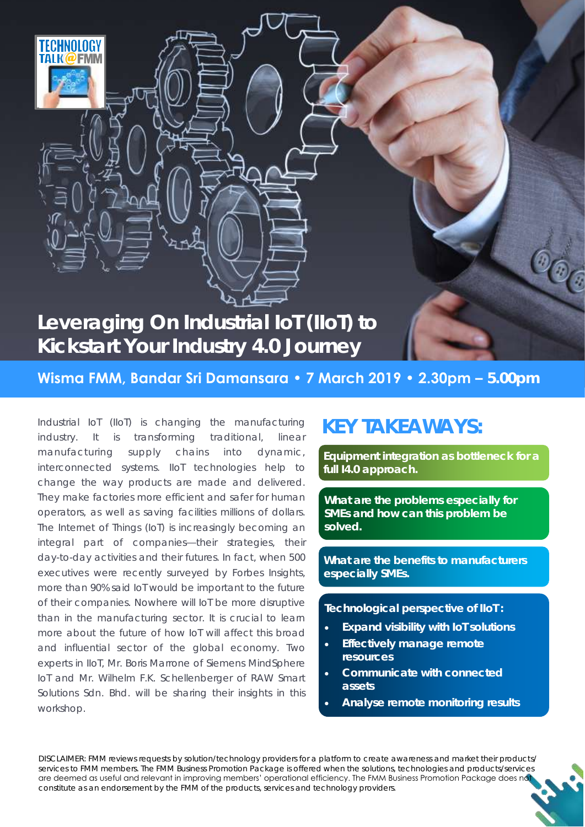

**Wisma FMM, Bandar Sri Damansara • 7 March 2019 • 2.30pm – 5.00pm** 

Industrial IoT (IIoT) is changing the manufacturing industry. It is transforming traditional, linear manufacturing supply chains into dynamic, interconnected systems. IIoT technologies help to change the way products are made and delivered. They make factories more efficient and safer for human operators, as well as saving facilities millions of dollars. The Internet of Things (IoT) is increasingly becoming an integral part of companies—their strategies, their day-to-day activities and their futures. In fact, when 500 executives were recently surveyed by Forbes Insights, more than 90% said IoT would be important to the future of their companies. Nowhere will IoT be more disruptive than in the manufacturing sector. It is crucial to learn more about the future of how IoT will affect this broad and influential sector of the global economy. Two experts in IIoT, Mr. Boris Marrone of Siemens MindSphere IoT and Mr. Wilhelm F.K. Schellenberger of RAW Smart Solutions Sdn. Bhd. will be sharing their insights in this workshop.

# **KEY TAKEAWAYS:**

**Equipment integration as bottleneck for a full I4.0 approach.**

**What are the problems especially for SMEs and how can this problem be solved.**

**What are the benefits to manufacturers especially SMEs.**

**Technological perspective of IIoT :**

- **Expand visibility with IoT solutions**
- **Effectively manage remote resources**
- **Communicate with connected assets**
- **Analyse remote monitoring results**

DISCLAIMER: FMM reviews requests by solution/technology providers for a platform to create awareness and market their products/ services to FMM members. The FMM Business Promotion Package is offered when the solutions, technologies and products/services are deemed as useful and relevant in improving members' operational efficiency. The FMM Business Promotion Package does no constitute as an endorsement by the FMM of the products, services and technology providers.